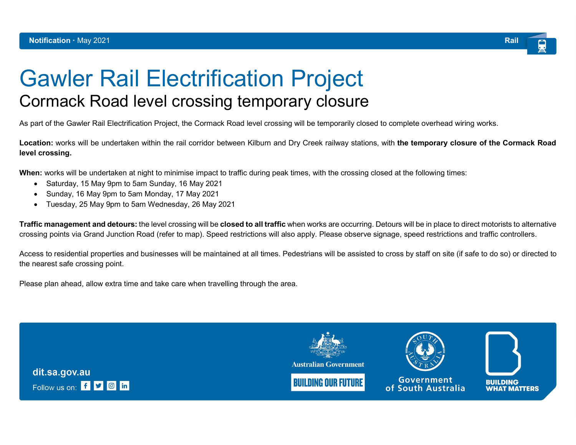

## Gawler Rail Electrification Project Cormack Road level crossing temporary closure

As part of the Gawler Rail Electrification Project, the Cormack Road level crossing will be temporarily closed to complete overhead wiring works.

Location: works will be undertaken within the rail corridor between Kilburn and Dry Creek railway stations, with the temporary closure of the Cormack Road level crossing.

When: works will be undertaken at night to minimise impact to traffic during peak times, with the crossing closed at the following times:

- Saturday, 15 May 9pm to 5am Sunday, 16 May 2021
- Sunday, 16 May 9pm to 5am Monday, 17 May 2021
- Tuesday, 25 May 9pm to 5am Wednesday, 26 May 2021

Traffic management and detours: the level crossing will be closed to all traffic when works are occurring. Detours will be in place to direct motorists to alternative crossing points via Grand Junction Road (refer to map). Speed restrictions will also apply. Please observe signage, speed restrictions and traffic controllers.

Access to residential properties and businesses will be maintained at all times. Pedestrians will be assisted to cross by staff on site (if safe to do so) or directed to the nearest safe crossing point.

Please plan ahead, allow extra time and take care when travelling through the area.